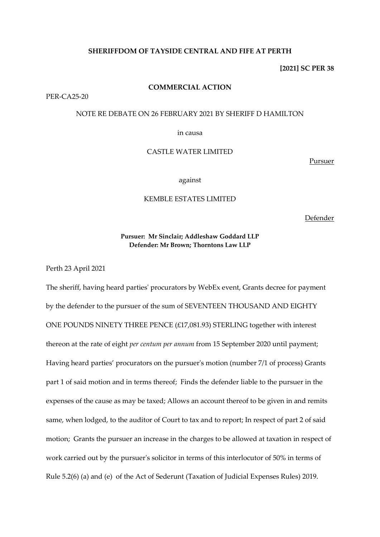### **SHERIFFDOM OF TAYSIDE CENTRAL AND FIFE AT PERTH**

**[2021] SC PER 38**

#### **COMMERCIAL ACTION**

PER-CA25-20

## NOTE RE DEBATE ON 26 FEBRUARY 2021 BY SHERIFF D HAMILTON

in causa

# CASTLE WATER LIMITED

Pursuer

against

## KEMBLE ESTATES LIMITED

Defender

# **Pursuer: Mr Sinclair; Addleshaw Goddard LLP Defender: Mr Brown; Thorntons Law LLP**

Perth 23 April 2021

The sheriff, having heard parties' procurators by WebEx event, Grants decree for payment by the defender to the pursuer of the sum of SEVENTEEN THOUSAND AND EIGHTY ONE POUNDS NINETY THREE PENCE (£17,081.93) STERLING together with interest thereon at the rate of eight *per centum per annum* from 15 September 2020 until payment; Having heard parties' procurators on the pursuer's motion (number 7/1 of process) Grants part 1 of said motion and in terms thereof; Finds the defender liable to the pursuer in the expenses of the cause as may be taxed; Allows an account thereof to be given in and remits same, when lodged, to the auditor of Court to tax and to report; In respect of part 2 of said motion; Grants the pursuer an increase in the charges to be allowed at taxation in respect of work carried out by the pursuer's solicitor in terms of this interlocutor of 50% in terms of Rule 5.2(6) (a) and (e) of the Act of Sederunt (Taxation of Judicial Expenses Rules) 2019.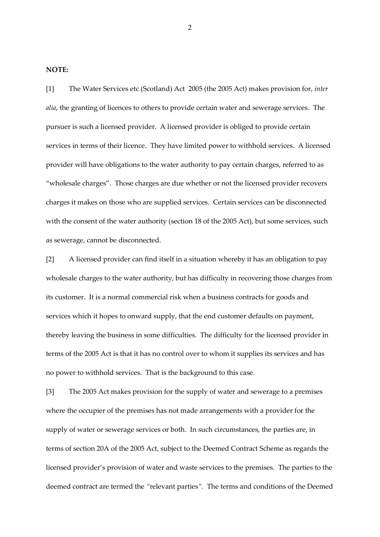#### **NOTE:**

[1] The Water Services etc (Scotland) Act 2005 (the 2005 Act) makes provision for, *inter alia*, the granting of licences to others to provide certain water and sewerage services. The pursuer is such a licensed provider. A licensed provider is obliged to provide certain services in terms of their licence. They have limited power to withhold services. A licensed provider will have obligations to the water authority to pay certain charges, referred to as "wholesale charges". Those charges are due whether or not the licensed provider recovers charges it makes on those who are supplied services. Certain services can be disconnected with the consent of the water authority (section 18 of the 2005 Act), but some services, such as sewerage, cannot be disconnected.

[2] A licensed provider can find itself in a situation whereby it has an obligation to pay wholesale charges to the water authority, but has difficulty in recovering those charges from its customer. It is a normal commercial risk when a business contracts for goods and services which it hopes to onward supply, that the end customer defaults on payment, thereby leaving the business in some difficulties. The difficulty for the licensed provider in terms of the 2005 Act is that it has no control over to whom it supplies its services and has no power to withhold services. That is the background to this case.

[3] The 2005 Act makes provision for the supply of water and sewerage to a premises where the occupier of the premises has not made arrangements with a provider for the supply of water or sewerage services or both. In such circumstances, the parties are, in terms of section 20A of the 2005 Act, subject to the Deemed Contract Scheme as regards the licensed provider's provision of water and waste services to the premises. The parties to the deemed contract are termed the *"*relevant parties*".* The terms and conditions of the Deemed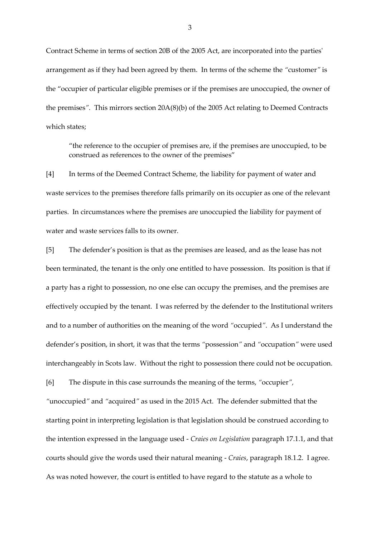Contract Scheme in terms of section 20B of the 2005 Act, are incorporated into the parties' arrangement as if they had been agreed by them. In terms of the scheme the *"*customer*"* is the "occupier of particular eligible premises or if the premises are unoccupied, the owner of the premises*".* This mirrors section 20A(8)(b) of the 2005 Act relating to Deemed Contracts which states;

"the reference to the occupier of premises are, if the premises are unoccupied, to be construed as references to the owner of the premises"

[4] In terms of the Deemed Contract Scheme, the liability for payment of water and waste services to the premises therefore falls primarily on its occupier as one of the relevant parties. In circumstances where the premises are unoccupied the liability for payment of water and waste services falls to its owner.

[5] The defender's position is that as the premises are leased, and as the lease has not been terminated, the tenant is the only one entitled to have possession. Its position is that if a party has a right to possession, no one else can occupy the premises, and the premises are effectively occupied by the tenant. I was referred by the defender to the Institutional writers and to a number of authorities on the meaning of the word *"*occupied*"*. As I understand the defender's position, in short, it was that the terms *"*possession*"* and *"*occupation*"* were used interchangeably in Scots law. Without the right to possession there could not be occupation.

[6] The dispute in this case surrounds the meaning of the terms, *"*occupier*",* 

*"*unoccupied*"* and *"*acquired*"* as used in the 2015 Act. The defender submitted that the starting point in interpreting legislation is that legislation should be construed according to the intention expressed in the language used - *Craies on Legislation* paragraph 17.1.1, and that courts should give the words used their natural meaning - *Craies*, paragraph 18.1.2. I agree. As was noted however, the court is entitled to have regard to the statute as a whole to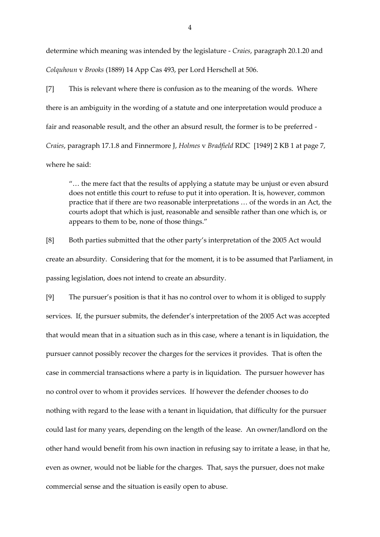determine which meaning was intended by the legislature - *Craies*, paragraph 20.1.20 and *Colquhoun* v *Brooks* (1889) 14 App Cas 493, per Lord Herschell at 506.

[7] This is relevant where there is confusion as to the meaning of the words. Where there is an ambiguity in the wording of a statute and one interpretation would produce a fair and reasonable result, and the other an absurd result, the former is to be preferred - *Craies*, paragraph 17.1.8 and Finnermore J, *Holmes* v *Bradfield* RDC [1949] 2 KB 1 at page 7, where he said:

"… the mere fact that the results of applying a statute may be unjust or even absurd does not entitle this court to refuse to put it into operation. It is, however, common practice that if there are two reasonable interpretations … of the words in an Act, the courts adopt that which is just, reasonable and sensible rather than one which is, or appears to them to be, none of those things."

[8] Both parties submitted that the other party's interpretation of the 2005 Act would create an absurdity. Considering that for the moment, it is to be assumed that Parliament, in passing legislation, does not intend to create an absurdity.

[9] The pursuer's position is that it has no control over to whom it is obliged to supply services. If, the pursuer submits, the defender's interpretation of the 2005 Act was accepted that would mean that in a situation such as in this case, where a tenant is in liquidation, the pursuer cannot possibly recover the charges for the services it provides. That is often the case in commercial transactions where a party is in liquidation. The pursuer however has no control over to whom it provides services. If however the defender chooses to do nothing with regard to the lease with a tenant in liquidation, that difficulty for the pursuer could last for many years, depending on the length of the lease. An owner/landlord on the other hand would benefit from his own inaction in refusing say to irritate a lease, in that he, even as owner, would not be liable for the charges. That, says the pursuer, does not make commercial sense and the situation is easily open to abuse.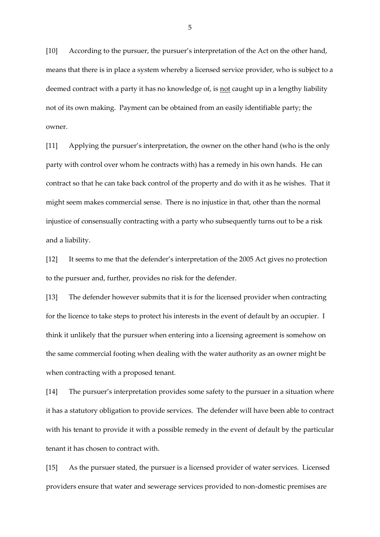[10] According to the pursuer, the pursuer's interpretation of the Act on the other hand, means that there is in place a system whereby a licensed service provider, who is subject to a deemed contract with a party it has no knowledge of, is not caught up in a lengthy liability not of its own making. Payment can be obtained from an easily identifiable party; the owner.

[11] Applying the pursuer's interpretation, the owner on the other hand (who is the only party with control over whom he contracts with) has a remedy in his own hands. He can contract so that he can take back control of the property and do with it as he wishes. That it might seem makes commercial sense. There is no injustice in that, other than the normal injustice of consensually contracting with a party who subsequently turns out to be a risk and a liability.

[12] It seems to me that the defender's interpretation of the 2005 Act gives no protection to the pursuer and, further, provides no risk for the defender.

[13] The defender however submits that it is for the licensed provider when contracting for the licence to take steps to protect his interests in the event of default by an occupier. I think it unlikely that the pursuer when entering into a licensing agreement is somehow on the same commercial footing when dealing with the water authority as an owner might be when contracting with a proposed tenant.

[14] The pursuer's interpretation provides some safety to the pursuer in a situation where it has a statutory obligation to provide services. The defender will have been able to contract with his tenant to provide it with a possible remedy in the event of default by the particular tenant it has chosen to contract with.

[15] As the pursuer stated, the pursuer is a licensed provider of water services. Licensed providers ensure that water and sewerage services provided to non-domestic premises are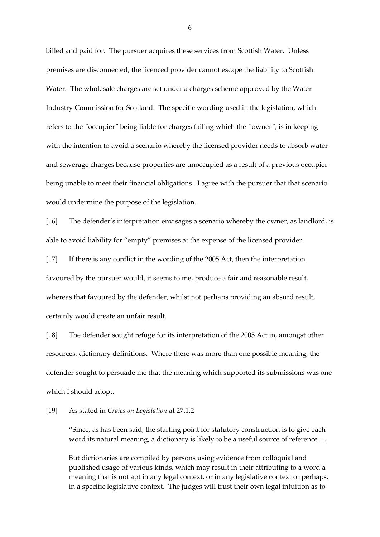billed and paid for. The pursuer acquires these services from Scottish Water. Unless premises are disconnected, the licenced provider cannot escape the liability to Scottish Water. The wholesale charges are set under a charges scheme approved by the Water Industry Commission for Scotland. The specific wording used in the legislation, which refers to the *"*occupier*"* being liable for charges failing which the *"*owner*",* is in keeping with the intention to avoid a scenario whereby the licensed provider needs to absorb water and sewerage charges because properties are unoccupied as a result of a previous occupier being unable to meet their financial obligations. I agree with the pursuer that that scenario would undermine the purpose of the legislation.

[16] The defender's interpretation envisages a scenario whereby the owner, as landlord, is able to avoid liability for "empty" premises at the expense of the licensed provider.

[17] If there is any conflict in the wording of the 2005 Act, then the interpretation favoured by the pursuer would, it seems to me, produce a fair and reasonable result, whereas that favoured by the defender, whilst not perhaps providing an absurd result, certainly would create an unfair result.

[18] The defender sought refuge for its interpretation of the 2005 Act in, amongst other resources, dictionary definitions. Where there was more than one possible meaning, the defender sought to persuade me that the meaning which supported its submissions was one which I should adopt.

#### [19] As stated in *Craies on Legislation* at 27.1.2

"Since, as has been said, the starting point for statutory construction is to give each word its natural meaning, a dictionary is likely to be a useful source of reference …

But dictionaries are compiled by persons using evidence from colloquial and published usage of various kinds, which may result in their attributing to a word a meaning that is not apt in any legal context, or in any legislative context or perhaps, in a specific legislative context. The judges will trust their own legal intuition as to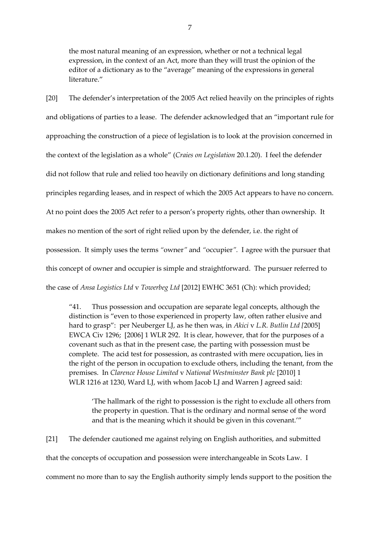the most natural meaning of an expression, whether or not a technical legal expression, in the context of an Act, more than they will trust the opinion of the editor of a dictionary as to the "average" meaning of the expressions in general literature."

[20] The defender's interpretation of the 2005 Act relied heavily on the principles of rights and obligations of parties to a lease. The defender acknowledged that an "important rule for approaching the construction of a piece of legislation is to look at the provision concerned in the context of the legislation as a whole" (*Craies on Legislation* 20.1.20). I feel the defender did not follow that rule and relied too heavily on dictionary definitions and long standing principles regarding leases, and in respect of which the 2005 Act appears to have no concern. At no point does the 2005 Act refer to a person's property rights, other than ownership. It makes no mention of the sort of right relied upon by the defender, i.e. the right of possession. It simply uses the terms *"*owner*"* and *"*occupier*".* I agree with the pursuer that this concept of owner and occupier is simple and straightforward. The pursuer referred to the case of *Ansa Logistics Ltd* v *Towerbeg Ltd* [2012] EWHC 3651 (Ch): which provided;

"41. Thus possession and occupation are separate legal concepts, although the distinction is "even to those experienced in property law, often rather elusive and hard to grasp": per Neuberger LJ, as he then was, in *Akici* v *L.R. Butlin Ltd [*2005] EWCA Civ 1296; [2006] 1 WLR 292. It is clear, however, that for the purposes of a covenant such as that in the present case, the parting with possession must be complete. The acid test for possession, as contrasted with mere occupation, lies in the right of the person in occupation to exclude others, including the tenant, from the premises. In *Clarence House Limited* v *National Westminster Bank plc* [2010] 1 WLR 1216 at 1230, Ward LJ, with whom Jacob LJ and Warren J agreed said:

'The hallmark of the right to possession is the right to exclude all others from the property in question. That is the ordinary and normal sense of the word and that is the meaning which it should be given in this covenant.'"

[21] The defender cautioned me against relying on English authorities, and submitted that the concepts of occupation and possession were interchangeable in Scots Law. I comment no more than to say the English authority simply lends support to the position the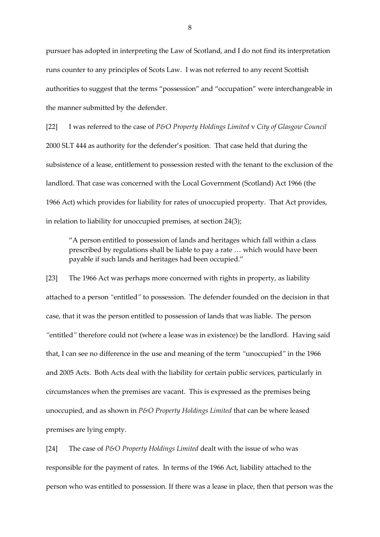pursuer has adopted in interpreting the Law of Scotland, and I do not find its interpretation runs counter to any principles of Scots Law. I was not referred to any recent Scottish authorities to suggest that the terms "possession" and "occupation" were interchangeable in the manner submitted by the defender.

[22] I was referred to the case of *P&O Property Holdings Limited* v *City of Glasgow Council* 2000 SLT 444 as authority for the defender's position. That case held that during the subsistence of a lease, entitlement to possession rested with the tenant to the exclusion of the landlord. That case was concerned with the Local Government (Scotland) Act 1966 (the 1966 Act) which provides for liability for rates of unoccupied property. That Act provides, in relation to liability for unoccupied premises, at section 24(3);

"A person entitled to possession of lands and heritages which fall within a class prescribed by regulations shall be liable to pay a rate … which would have been payable if such lands and heritages had been occupied."

[23] The 1966 Act was perhaps more concerned with rights in property, as liability attached to a person *"*entitled*"* to possession. The defender founded on the decision in that case, that it was the person entitled to possession of lands that was liable. The person *"*entitled*"* therefore could not (where a lease was in existence) be the landlord. Having said that, I can see no difference in the use and meaning of the term *"*unoccupied*"* in the 1966 and 2005 Acts. Both Acts deal with the liability for certain public services, particularly in circumstances when the premises are vacant. This is expressed as the premises being unoccupied, and as shown in *P&O Property Holdings Limited* that can be where leased premises are lying empty.

[24] The case of *P&O Property Holdings Limited* dealt with the issue of who was responsible for the payment of rates. In terms of the 1966 Act, liability attached to the person who was entitled to possession. If there was a lease in place, then that person was the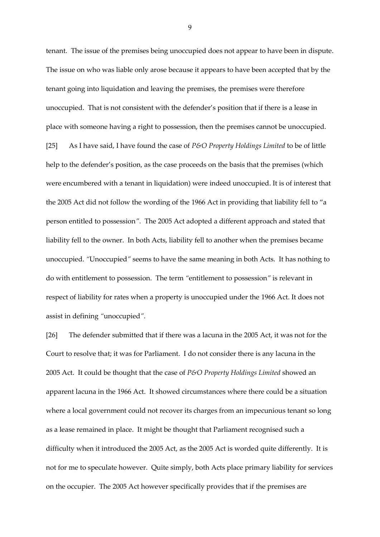tenant. The issue of the premises being unoccupied does not appear to have been in dispute. The issue on who was liable only arose because it appears to have been accepted that by the tenant going into liquidation and leaving the premises, the premises were therefore unoccupied. That is not consistent with the defender's position that if there is a lease in place with someone having a right to possession, then the premises cannot be unoccupied. [25] As I have said, I have found the case of *P&O Property Holdings Limited* to be of little help to the defender's position, as the case proceeds on the basis that the premises (which were encumbered with a tenant in liquidation) were indeed unoccupied. It is of interest that the 2005 Act did not follow the wording of the 1966 Act in providing that liability fell to "a person entitled to possession*"*. The 2005 Act adopted a different approach and stated that liability fell to the owner. In both Acts, liability fell to another when the premises became unoccupied. *"*Unoccupied*"* seems to have the same meaning in both Acts. It has nothing to do with entitlement to possession. The term *"*entitlement to possession*"* is relevant in respect of liability for rates when a property is unoccupied under the 1966 Act. It does not assist in defining *"*unoccupied*".*

[26] The defender submitted that if there was a lacuna in the 2005 Act, it was not for the Court to resolve that; it was for Parliament. I do not consider there is any lacuna in the 2005 Act. It could be thought that the case of *P&O Property Holdings Limited* showed an apparent lacuna in the 1966 Act. It showed circumstances where there could be a situation where a local government could not recover its charges from an impecunious tenant so long as a lease remained in place. It might be thought that Parliament recognised such a difficulty when it introduced the 2005 Act, as the 2005 Act is worded quite differently. It is not for me to speculate however. Quite simply, both Acts place primary liability for services on the occupier. The 2005 Act however specifically provides that if the premises are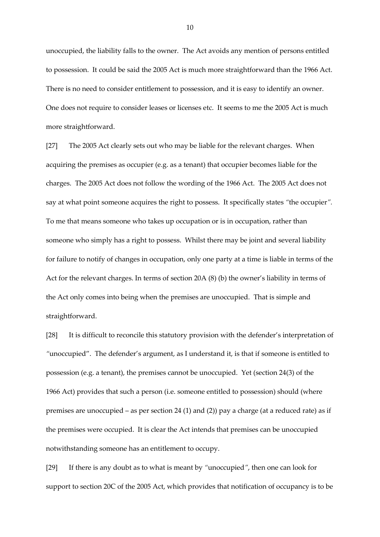unoccupied, the liability falls to the owner. The Act avoids any mention of persons entitled to possession. It could be said the 2005 Act is much more straightforward than the 1966 Act. There is no need to consider entitlement to possession, and it is easy to identify an owner. One does not require to consider leases or licenses etc. It seems to me the 2005 Act is much more straightforward.

[27] The 2005 Act clearly sets out who may be liable for the relevant charges. When acquiring the premises as occupier (e.g. as a tenant) that occupier becomes liable for the charges. The 2005 Act does not follow the wording of the 1966 Act. The 2005 Act does not say at what point someone acquires the right to possess. It specifically states *"*the occupier*".*  To me that means someone who takes up occupation or is in occupation, rather than someone who simply has a right to possess. Whilst there may be joint and several liability for failure to notify of changes in occupation, only one party at a time is liable in terms of the Act for the relevant charges. In terms of section 20A (8) (b) the owner's liability in terms of the Act only comes into being when the premises are unoccupied. That is simple and straightforward.

[28] It is difficult to reconcile this statutory provision with the defender's interpretation of *"*unoccupied". The defender's argument, as I understand it, is that if someone is entitled to possession (e.g. a tenant), the premises cannot be unoccupied. Yet (section 24(3) of the 1966 Act) provides that such a person (i.e. someone entitled to possession) should (where premises are unoccupied – as per section 24 (1) and (2)) pay a charge (at a reduced rate) as if the premises were occupied. It is clear the Act intends that premises can be unoccupied notwithstanding someone has an entitlement to occupy.

[29] If there is any doubt as to what is meant by *"*unoccupied*"*, then one can look for support to section 20C of the 2005 Act, which provides that notification of occupancy is to be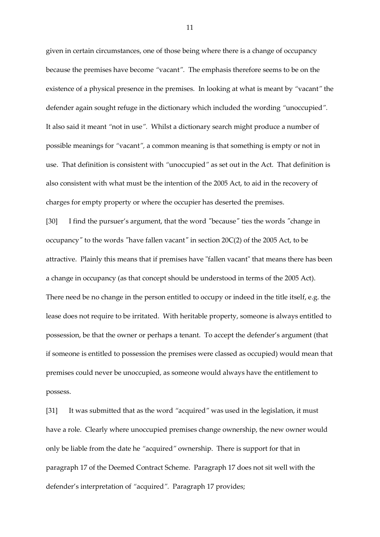given in certain circumstances, one of those being where there is a change of occupancy because the premises have become *"*vacant*".* The emphasis therefore seems to be on the existence of a physical presence in the premises. In looking at what is meant by *"*vacant*"* the defender again sought refuge in the dictionary which included the wording *"*unoccupied*".*  It also said it meant *"*not in use*".* Whilst a dictionary search might produce a number of possible meanings for *"*vacant*",* a common meaning is that something is empty or not in use. That definition is consistent with *"*unoccupied*"* as set out in the Act. That definition is also consistent with what must be the intention of the 2005 Act, to aid in the recovery of charges for empty property or where the occupier has deserted the premises.

[30] I find the pursuer's argument, that the word *"*because*"* ties the words *"*change in occupancy*"* to the words *"*have fallen vacant*"* in section 20C(2) of the 2005 Act, to be attractive. Plainly this means that if premises have "fallen vacant" that means there has been a change in occupancy (as that concept should be understood in terms of the 2005 Act). There need be no change in the person entitled to occupy or indeed in the title itself, e.g. the lease does not require to be irritated. With heritable property, someone is always entitled to possession, be that the owner or perhaps a tenant. To accept the defender's argument (that if someone is entitled to possession the premises were classed as occupied) would mean that premises could never be unoccupied, as someone would always have the entitlement to possess.

[31] It was submitted that as the word *"*acquired*"* was used in the legislation, it must have a role. Clearly where unoccupied premises change ownership, the new owner would only be liable from the date he *"*acquired*"* ownership. There is support for that in paragraph 17 of the Deemed Contract Scheme. Paragraph 17 does not sit well with the defender's interpretation of *"*acquired*".* Paragraph 17 provides;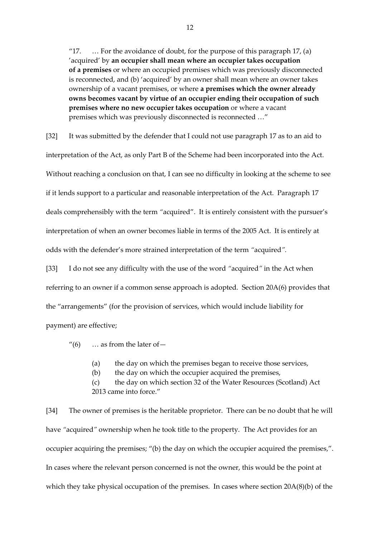"17.  $\ldots$  For the avoidance of doubt, for the purpose of this paragraph 17, (a) 'acquired' by **an occupier shall mean where an occupier takes occupation of a premises** or where an occupied premises which was previously disconnected is reconnected, and (b) 'acquired' by an owner shall mean where an owner takes ownership of a vacant premises, or where **a premises which the owner already owns becomes vacant by virtue of an occupier ending their occupation of such premises where no new occupier takes occupation** or where a vacant premises which was previously disconnected is reconnected …"

[32] It was submitted by the defender that I could not use paragraph 17 as to an aid to interpretation of the Act, as only Part B of the Scheme had been incorporated into the Act. Without reaching a conclusion on that, I can see no difficulty in looking at the scheme to see if it lends support to a particular and reasonable interpretation of the Act. Paragraph 17 deals comprehensibly with the term *"*acquired". It is entirely consistent with the pursuer's interpretation of when an owner becomes liable in terms of the 2005 Act. It is entirely at odds with the defender's more strained interpretation of the term *"*acquired*".*

[33] I do not see any difficulty with the use of the word *"*acquired*"* in the Act when referring to an owner if a common sense approach is adopted. Section 20A(6) provides that the "arrangements" (for the provision of services, which would include liability for payment) are effective;

"(6)  $\ldots$  as from the later of  $-$ 

(a) the day on which the premises began to receive those services,

(b) the day on which the occupier acquired the premises,

(c) the day on which section 32 of the Water Resources (Scotland) Act 2013 came into force."

[34] The owner of premises is the heritable proprietor. There can be no doubt that he will have *"*acquired*"* ownership when he took title to the property. The Act provides for an occupier acquiring the premises; "(b) the day on which the occupier acquired the premises,". In cases where the relevant person concerned is not the owner, this would be the point at which they take physical occupation of the premises. In cases where section  $20A(8)(b)$  of the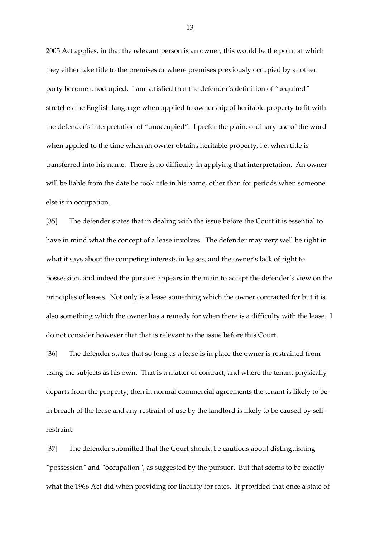2005 Act applies, in that the relevant person is an owner, this would be the point at which they either take title to the premises or where premises previously occupied by another party become unoccupied. I am satisfied that the defender's definition of *"*acquired*"* stretches the English language when applied to ownership of heritable property to fit with the defender's interpretation of *"*unoccupied". I prefer the plain, ordinary use of the word when applied to the time when an owner obtains heritable property, i.e. when title is transferred into his name. There is no difficulty in applying that interpretation. An owner will be liable from the date he took title in his name, other than for periods when someone else is in occupation.

[35] The defender states that in dealing with the issue before the Court it is essential to have in mind what the concept of a lease involves. The defender may very well be right in what it says about the competing interests in leases, and the owner's lack of right to possession, and indeed the pursuer appears in the main to accept the defender's view on the principles of leases. Not only is a lease something which the owner contracted for but it is also something which the owner has a remedy for when there is a difficulty with the lease. I do not consider however that that is relevant to the issue before this Court.

[36] The defender states that so long as a lease is in place the owner is restrained from using the subjects as his own. That is a matter of contract, and where the tenant physically departs from the property, then in normal commercial agreements the tenant is likely to be in breach of the lease and any restraint of use by the landlord is likely to be caused by selfrestraint.

[37] The defender submitted that the Court should be cautious about distinguishing *"*possession*"* and *"*occupation*"*, as suggested by the pursuer. But that seems to be exactly what the 1966 Act did when providing for liability for rates. It provided that once a state of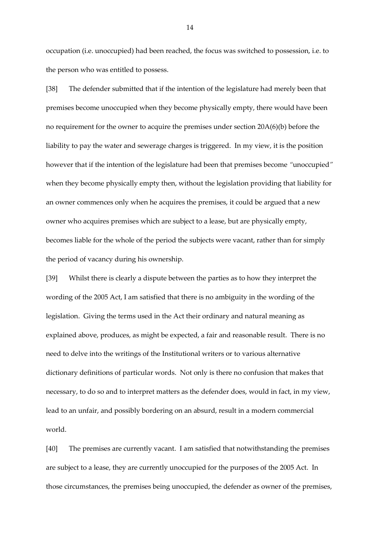occupation (i.e. unoccupied) had been reached, the focus was switched to possession, i.e. to the person who was entitled to possess.

[38] The defender submitted that if the intention of the legislature had merely been that premises become unoccupied when they become physically empty, there would have been no requirement for the owner to acquire the premises under section 20A(6)(b) before the liability to pay the water and sewerage charges is triggered. In my view, it is the position however that if the intention of the legislature had been that premises become *"*unoccupied*"*  when they become physically empty then, without the legislation providing that liability for an owner commences only when he acquires the premises, it could be argued that a new owner who acquires premises which are subject to a lease, but are physically empty, becomes liable for the whole of the period the subjects were vacant, rather than for simply the period of vacancy during his ownership.

[39] Whilst there is clearly a dispute between the parties as to how they interpret the wording of the 2005 Act, I am satisfied that there is no ambiguity in the wording of the legislation. Giving the terms used in the Act their ordinary and natural meaning as explained above, produces, as might be expected, a fair and reasonable result. There is no need to delve into the writings of the Institutional writers or to various alternative dictionary definitions of particular words. Not only is there no confusion that makes that necessary, to do so and to interpret matters as the defender does, would in fact, in my view, lead to an unfair, and possibly bordering on an absurd, result in a modern commercial world.

[40] The premises are currently vacant. I am satisfied that notwithstanding the premises are subject to a lease, they are currently unoccupied for the purposes of the 2005 Act. In those circumstances, the premises being unoccupied, the defender as owner of the premises,